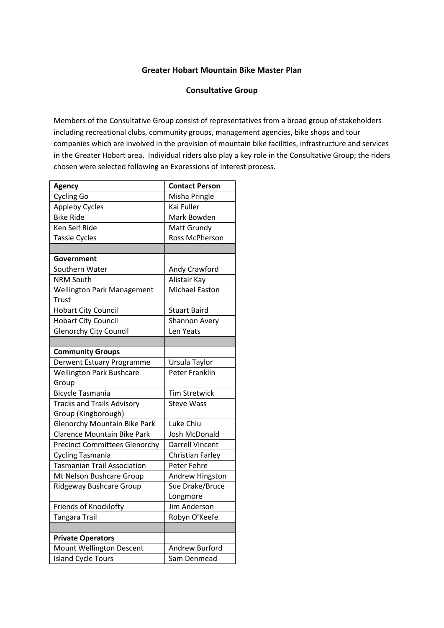## **Greater Hobart Mountain Bike Master Plan**

## **Consultative Group**

Members of the Consultative Group consist of representatives from a broad group of stakeholders including recreational clubs, community groups, management agencies, bike shops and tour companies which are involved in the provision of mountain bike facilities, infrastructure and services in the Greater Hobart area. Individual riders also play a key role in the Consultative Group; the riders chosen were selected following an Expressions of Interest process.

| <b>Agency</b>                        | <b>Contact Person</b>  |
|--------------------------------------|------------------------|
| <b>Cycling Go</b>                    | Misha Pringle          |
| <b>Appleby Cycles</b>                | Kai Fuller             |
| <b>Bike Ride</b>                     | Mark Bowden            |
| Ken Self Ride                        | Matt Grundy            |
| <b>Tassie Cycles</b>                 | <b>Ross McPherson</b>  |
|                                      |                        |
| Government                           |                        |
| Southern Water                       | Andy Crawford          |
| <b>NRM South</b>                     | Alistair Kay           |
| <b>Wellington Park Management</b>    | <b>Michael Easton</b>  |
| Trust                                |                        |
| <b>Hobart City Council</b>           | <b>Stuart Baird</b>    |
| <b>Hobart City Council</b>           | Shannon Avery          |
| <b>Glenorchy City Council</b>        | Len Yeats              |
|                                      |                        |
| <b>Community Groups</b>              |                        |
| Derwent Estuary Programme            | Ursula Taylor          |
| <b>Wellington Park Bushcare</b>      | Peter Franklin         |
| Group                                |                        |
| <b>Bicycle Tasmania</b>              | <b>Tim Stretwick</b>   |
| <b>Tracks and Trails Advisory</b>    | <b>Steve Wass</b>      |
| Group (Kingborough)                  |                        |
| <b>Glenorchy Mountain Bike Park</b>  | Luke Chiu              |
| <b>Clarence Mountain Bike Park</b>   | <b>Josh McDonald</b>   |
| <b>Precinct Committees Glenorchy</b> | <b>Darrell Vincent</b> |
| <b>Cycling Tasmania</b>              | Christian Farley       |
| <b>Tasmanian Trail Association</b>   | Peter Fehre            |
| Mt Nelson Bushcare Group             | Andrew Hingston        |
| <b>Ridgeway Bushcare Group</b>       | Sue Drake/Bruce        |
|                                      | Longmore               |
| Friends of Knocklofty                | <b>Jim Anderson</b>    |
| <b>Tangara Trail</b>                 | Robyn O'Keefe          |
|                                      |                        |
| <b>Private Operators</b>             |                        |
| Mount Wellington Descent             | <b>Andrew Burford</b>  |
| <b>Island Cycle Tours</b>            | Sam Denmead            |